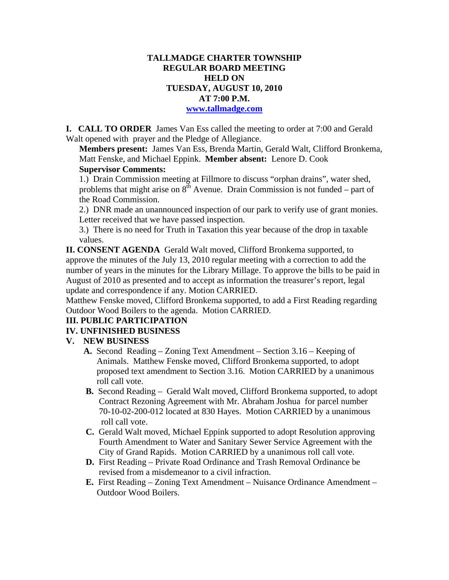# **TALLMADGE CHARTER TOWNSHIP REGULAR BOARD MEETING HELD ON TUESDAY, AUGUST 10, 2010 AT 7:00 P.M.**

**www.tallmadge.com**

**I. CALL TO ORDER** James Van Ess called the meeting to order at 7:00 and Gerald Walt opened with prayer and the Pledge of Allegiance.

**Members present:** James Van Ess, Brenda Martin, Gerald Walt, Clifford Bronkema, Matt Fenske, and Michael Eppink. **Member absent:** Lenore D. Cook **Supervisor Comments:** 

1.) Drain Commission meeting at Fillmore to discuss "orphan drains", water shed, problems that might arise on  $8<sup>th</sup>$  Avenue. Drain Commission is not funded – part of the Road Commission.

2.) DNR made an unannounced inspection of our park to verify use of grant monies. Letter received that we have passed inspection.

3.) There is no need for Truth in Taxation this year because of the drop in taxable values.

**II. CONSENT AGENDA** Gerald Walt moved, Clifford Bronkema supported, to approve the minutes of the July 13, 2010 regular meeting with a correction to add the number of years in the minutes for the Library Millage. To approve the bills to be paid in August of 2010 as presented and to accept as information the treasurer's report, legal update and correspondence if any. Motion CARRIED.

Matthew Fenske moved, Clifford Bronkema supported, to add a First Reading regarding Outdoor Wood Boilers to the agenda. Motion CARRIED.

### **III. PUBLIC PARTICIPATION**

### **IV. UNFINISHED BUSINESS**

### **V. NEW BUSINESS**

- **A.** Second Reading Zoning Text Amendment Section 3.16 Keeping of Animals. Matthew Fenske moved, Clifford Bronkema supported, to adopt proposed text amendment to Section 3.16. Motion CARRIED by a unanimous roll call vote.
- **B.** Second Reading Gerald Walt moved, Clifford Bronkema supported, to adopt Contract Rezoning Agreement with Mr. Abraham Joshua for parcel number 70-10-02-200-012 located at 830 Hayes. Motion CARRIED by a unanimous roll call vote.
- **C.** Gerald Walt moved, Michael Eppink supported to adopt Resolution approving Fourth Amendment to Water and Sanitary Sewer Service Agreement with the City of Grand Rapids. Motion CARRIED by a unanimous roll call vote.
- **D.** First Reading Private Road Ordinance and Trash Removal Ordinance be revised from a misdemeanor to a civil infraction.
- **E.** First Reading Zoning Text Amendment Nuisance Ordinance Amendment Outdoor Wood Boilers.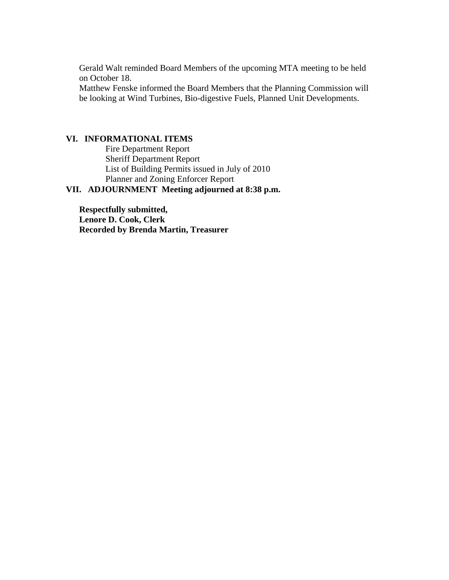Gerald Walt reminded Board Members of the upcoming MTA meeting to be held on October 18.

Matthew Fenske informed the Board Members that the Planning Commission will be looking at Wind Turbines, Bio-digestive Fuels, Planned Unit Developments.

#### **VI. INFORMATIONAL ITEMS**

Fire Department Report Sheriff Department Report List of Building Permits issued in July of 2010 Planner and Zoning Enforcer Report

## **VII. ADJOURNMENT Meeting adjourned at 8:38 p.m.**

**Respectfully submitted, Lenore D. Cook, Clerk Recorded by Brenda Martin, Treasurer**